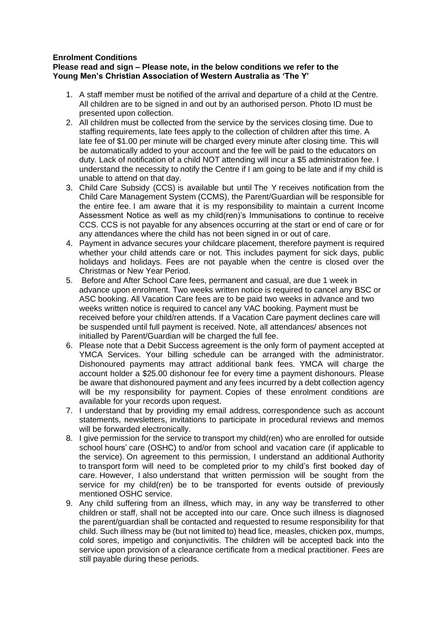## **Enrolment Conditions**

## **Please read and sign – Please note, in the below conditions we refer to the Young Men's Christian Association of Western Australia as 'The Y'**

- 1. A staff member must be notified of the arrival and departure of a child at the Centre. All children are to be signed in and out by an authorised person. Photo ID must be presented upon collection.
- 2. All children must be collected from the service by the services closing time. Due to staffing requirements, late fees apply to the collection of children after this time. A late fee of \$1.00 per minute will be charged every minute after closing time. This will be automatically added to your account and the fee will be paid to the educators on duty. Lack of notification of a child NOT attending will incur a \$5 administration fee. I understand the necessity to notify the Centre if I am going to be late and if my child is unable to attend on that day.
- 3. Child Care Subsidy (CCS) is available but until The Y receives notification from the Child Care Management System (CCMS), the Parent/Guardian will be responsible for the entire fee. I am aware that it is my responsibility to maintain a current Income Assessment Notice as well as my child(ren)'s Immunisations to continue to receive CCS. CCS is not payable for any absences occurring at the start or end of care or for any attendances where the child has not been signed in or out of care.
- 4. Payment in advance secures your childcare placement, therefore payment is required whether your child attends care or not. This includes payment for sick days, public holidays and holidays. Fees are not payable when the centre is closed over the Christmas or New Year Period.
- 5. Before and After School Care fees, permanent and casual, are due 1 week in advance upon enrolment. Two weeks written notice is required to cancel any BSC or ASC booking. All Vacation Care fees are to be paid two weeks in advance and two weeks written notice is required to cancel any VAC booking. Payment must be received before your child/ren attends. If a Vacation Care payment declines care will be suspended until full payment is received. Note, all attendances/ absences not initialled by Parent/Guardian will be charged the full fee.
- 6. Please note that a Debit Success agreement is the only form of payment accepted at YMCA Services. Your billing schedule can be arranged with the administrator. Dishonoured payments may attract additional bank fees. YMCA will charge the account holder a \$25.00 dishonour fee for every time a payment dishonours. Please be aware that dishonoured payment and any fees incurred by a debt collection agency will be my responsibility for payment. Copies of these enrolment conditions are available for your records upon request.
- 7. I understand that by providing my email address, correspondence such as account statements, newsletters, invitations to participate in procedural reviews and memos will be forwarded electronically.
- 8. I give permission for the service to transport my child(ren) who are enrolled for outside school hours' care (OSHC) to and/or from school and vacation care (if applicable to the service). On agreement to this permission, I understand an additional Authority to transport form will need to be completed prior to my child's first booked day of care. However, I also understand that written permission will be sought from the service for my child(ren) be to be transported for events outside of previously mentioned OSHC service.
- 9. Any child suffering from an illness, which may, in any way be transferred to other children or staff, shall not be accepted into our care. Once such illness is diagnosed the parent/guardian shall be contacted and requested to resume responsibility for that child. Such illness may be (but not limited to) head lice, measles, chicken pox, mumps, cold sores, impetigo and conjunctivitis. The children will be accepted back into the service upon provision of a clearance certificate from a medical practitioner. Fees are still payable during these periods.